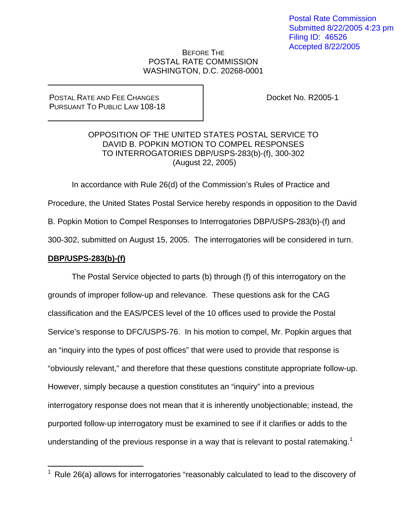## BEFORE THE POSTAL RATE COMMISSION WASHINGTON, D.C. 20268-0001

## POSTAL RATE AND FEE CHANGES PURSUANT TO PUBLIC LAW 108-18

Docket No. R2005-1

# OPPOSITION OF THE UNITED STATES POSTAL SERVICE TO DAVID B. POPKIN MOTION TO COMPEL RESPONSES TO INTERROGATORIES DBP/USPS-283(b)-(f), 300-302 (August 22, 2005)

In accordance with Rule 26(d) of the Commission's Rules of Practice and Procedure, the United States Postal Service hereby responds in opposition to the David B. Popkin Motion to Compel Responses to Interrogatories DBP/USPS-283(b)-(f) and 300-302, submitted on August 15, 2005. The interrogatories will be considered in turn.

# **DBP/USPS-283(b)-(f)**

 The Postal Service objected to parts (b) through (f) of this interrogatory on the grounds of improper follow-up and relevance. These questions ask for the CAG classification and the EAS/PCES level of the 10 offices used to provide the Postal Service's response to DFC/USPS-76. In his motion to compel, Mr. Popkin argues that an "inquiry into the types of post offices" that were used to provide that response is "obviously relevant," and therefore that these questions constitute appropriate follow-up. However, simply because a question constitutes an "inquiry" into a previous interrogatory response does not mean that it is inherently unobjectionable; instead, the purported follow-up interrogatory must be examined to see if it clarifies or adds to the understanding of the previous response in a way that is relevant to postal ratemaking.<sup>1</sup>

<sup>&</sup>lt;u>.</u>  $1$  Rule 26(a) allows for interrogatories "reasonably calculated to lead to the discovery of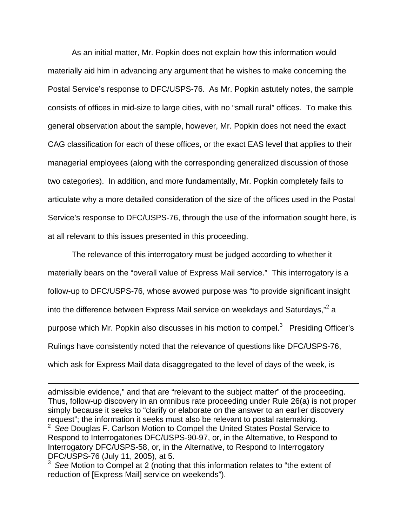As an initial matter, Mr. Popkin does not explain how this information would materially aid him in advancing any argument that he wishes to make concerning the Postal Service's response to DFC/USPS-76. As Mr. Popkin astutely notes, the sample consists of offices in mid-size to large cities, with no "small rural" offices. To make this general observation about the sample, however, Mr. Popkin does not need the exact CAG classification for each of these offices, or the exact EAS level that applies to their managerial employees (along with the corresponding generalized discussion of those two categories). In addition, and more fundamentally, Mr. Popkin completely fails to articulate why a more detailed consideration of the size of the offices used in the Postal Service's response to DFC/USPS-76, through the use of the information sought here, is at all relevant to this issues presented in this proceeding.

The relevance of this interrogatory must be judged according to whether it materially bears on the "overall value of Express Mail service." This interrogatory is a follow-up to DFC/USPS-76, whose avowed purpose was "to provide significant insight into the difference between Express Mail service on weekdays and Saturdays,"<sup>2</sup> a purpose which Mr. Popkin also discusses in his motion to compel. $3$  Presiding Officer's Rulings have consistently noted that the relevance of questions like DFC/USPS-76, which ask for Express Mail data disaggregated to the level of days of the week, is

admissible evidence," and that are "relevant to the subject matter" of the proceeding. Thus, follow-up discovery in an omnibus rate proceeding under Rule 26(a) is not proper simply because it seeks to "clarify or elaborate on the answer to an earlier discovery request"; the information it seeks must also be relevant to postal ratemaking. 2 *See* Douglas F. Carlson Motion to Compel the United States Postal Service to

Respond to Interrogatories DFC/USPS-90-97, or, in the Alternative, to Respond to Interrogatory DFC/USPS-58, or, in the Alternative, to Respond to Interrogatory DFC/USPS-76 (July 11, 2005), at 5.

 $\overline{a}$ 

<sup>3</sup>*See* Motion to Compel at 2 (noting that this information relates to "the extent of reduction of [Express Mail] service on weekends").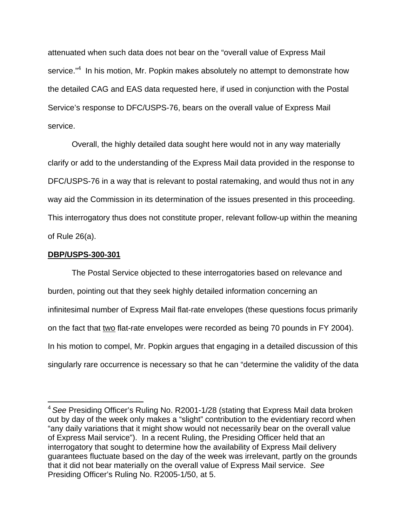attenuated when such data does not bear on the "overall value of Express Mail service."<sup>4</sup> In his motion, Mr. Popkin makes absolutely no attempt to demonstrate how the detailed CAG and EAS data requested here, if used in conjunction with the Postal Service's response to DFC/USPS-76, bears on the overall value of Express Mail service.

Overall, the highly detailed data sought here would not in any way materially clarify or add to the understanding of the Express Mail data provided in the response to DFC/USPS-76 in a way that is relevant to postal ratemaking, and would thus not in any way aid the Commission in its determination of the issues presented in this proceeding. This interrogatory thus does not constitute proper, relevant follow-up within the meaning of Rule 26(a).

#### **DBP/USPS-300-301**

1

The Postal Service objected to these interrogatories based on relevance and burden, pointing out that they seek highly detailed information concerning an infinitesimal number of Express Mail flat-rate envelopes (these questions focus primarily on the fact that two flat-rate envelopes were recorded as being 70 pounds in FY 2004). In his motion to compel, Mr. Popkin argues that engaging in a detailed discussion of this singularly rare occurrence is necessary so that he can "determine the validity of the data

<sup>4</sup>*See* Presiding Officer's Ruling No. R2001-1/28 (stating that Express Mail data broken out by day of the week only makes a "slight" contribution to the evidentiary record when "any daily variations that it might show would not necessarily bear on the overall value of Express Mail service"). In a recent Ruling, the Presiding Officer held that an interrogatory that sought to determine how the availability of Express Mail delivery guarantees fluctuate based on the day of the week was irrelevant, partly on the grounds that it did not bear materially on the overall value of Express Mail service. *See*  Presiding Officer's Ruling No. R2005-1/50, at 5.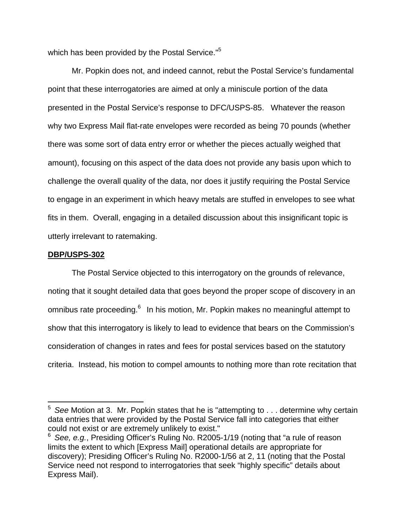which has been provided by the Postal Service."<sup>5</sup>

Mr. Popkin does not, and indeed cannot, rebut the Postal Service's fundamental point that these interrogatories are aimed at only a miniscule portion of the data presented in the Postal Service's response to DFC/USPS-85. Whatever the reason why two Express Mail flat-rate envelopes were recorded as being 70 pounds (whether there was some sort of data entry error or whether the pieces actually weighed that amount), focusing on this aspect of the data does not provide any basis upon which to challenge the overall quality of the data, nor does it justify requiring the Postal Service to engage in an experiment in which heavy metals are stuffed in envelopes to see what fits in them. Overall, engaging in a detailed discussion about this insignificant topic is utterly irrelevant to ratemaking.

## **DBP/USPS-302**

 $\overline{a}$ 

The Postal Service objected to this interrogatory on the grounds of relevance, noting that it sought detailed data that goes beyond the proper scope of discovery in an omnibus rate proceeding.<sup>6</sup> In his motion, Mr. Popkin makes no meaningful attempt to show that this interrogatory is likely to lead to evidence that bears on the Commission's consideration of changes in rates and fees for postal services based on the statutory criteria. Instead, his motion to compel amounts to nothing more than rote recitation that

<sup>5</sup>*See* Motion at 3. Mr. Popkin states that he is "attempting to . . . determine why certain data entries that were provided by the Postal Service fall into categories that either could not exist or are extremely unlikely to exist."

<sup>6</sup>*See, e.g.*, Presiding Officer's Ruling No. R2005-1/19 (noting that "a rule of reason limits the extent to which [Express Mail] operational details are appropriate for discovery); Presiding Officer's Ruling No. R2000-1/56 at 2, 11 (noting that the Postal Service need not respond to interrogatories that seek "highly specific" details about Express Mail).